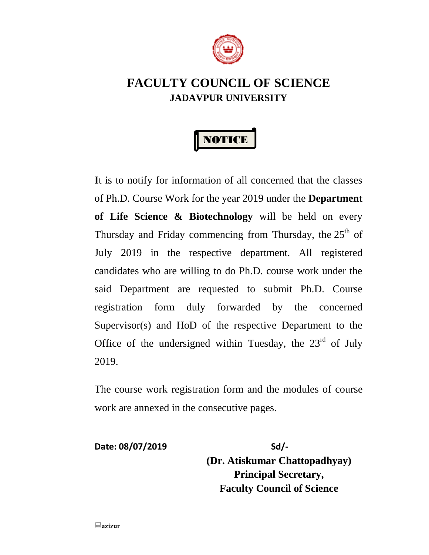

# **FACULTY COUNCIL OF SCIENCE JADAVPUR UNIVERSITY**



**I**t is to notify for information of all concerned that the classes of Ph.D. Course Work for the year 2019 under the **Department of Life Science & Biotechnology** will be held on every Thursday and Friday commencing from Thursday, the  $25<sup>th</sup>$  of July 2019 in the respective department. All registered candidates who are willing to do Ph.D. course work under the said Department are requested to submit Ph.D. Course registration form duly forwarded by the concerned Supervisor(s) and HoD of the respective Department to the Office of the undersigned within Tuesday, the  $23<sup>rd</sup>$  of July 2019.

The course work registration form and the modules of course work are annexed in the consecutive pages.

**Date: 08/07/2019 Sd/- (Dr. Atiskumar Chattopadhyay) Principal Secretary, Faculty Council of Science**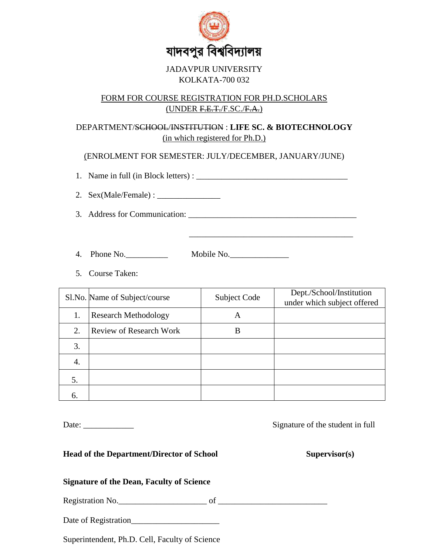

### JADAVPUR UNIVERSITY KOLKATA-700 032

## FORM FOR COURSE REGISTRATION FOR PH.D.SCHOLARS (UNDER F.E.T./F.SC./F.A.)

# DEPARTMENT/SCHOOL/INSTITUTION : **LIFE SC. & BIOTECHNOLOGY** (in which registered for Ph.D.)

(ENROLMENT FOR SEMESTER: JULY/DECEMBER, JANUARY/JUNE)

1. Name in full (in Block letters) : \_\_\_\_\_\_\_\_\_\_\_\_\_\_\_\_\_\_\_\_\_\_\_\_\_\_\_\_\_\_\_\_\_\_\_\_

2. Sex(Male/Female) : \_\_\_\_\_\_\_\_\_\_\_\_\_\_\_

3. Address for Communication: \_\_\_\_\_\_\_\_\_\_\_\_\_\_\_\_\_\_\_\_\_\_\_\_\_\_\_\_\_\_\_\_\_\_\_\_\_\_\_\_

\_\_\_\_\_\_\_\_\_\_\_\_\_\_\_\_\_\_\_\_\_\_\_\_\_\_\_\_\_\_\_\_\_\_\_\_\_\_\_

4. Phone No.\_\_\_\_\_\_\_\_\_\_ Mobile No.\_\_\_\_\_\_\_\_\_\_\_\_\_\_

5. Course Taken:

|    | Sl.No. Name of Subject/course  | <b>Subject Code</b> | Dept./School/Institution<br>under which subject offered |
|----|--------------------------------|---------------------|---------------------------------------------------------|
| 1. | <b>Research Methodology</b>    | A                   |                                                         |
| 2. | <b>Review of Research Work</b> | B                   |                                                         |
| 3. |                                |                     |                                                         |
| 4. |                                |                     |                                                         |
| 5. |                                |                     |                                                         |
| 6. |                                |                     |                                                         |

Date: \_\_\_\_\_\_\_\_\_\_\_\_ Signature of the student in full

**Head of the Department/Director of School Supervisor(s)**

# **Signature of the Dean, Faculty of Science**

Registration No. the contraction of the contraction of  $\alpha$ 

Date of Registration\_\_\_\_\_\_\_\_\_\_\_\_\_\_\_\_\_\_\_\_\_

Superintendent, Ph.D. Cell, Faculty of Science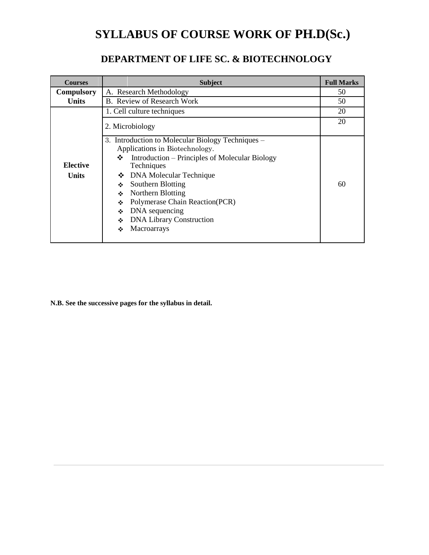# **SYLLABUS OF COURSE WORK OF PH.D(Sc.)**

# **DEPARTMENT OF LIFE SC. & BIOTECHNOLOGY**

| <b>Courses</b>                  | <b>Subject</b>                                                                                                                                                                                                                                                                                                                                                         | <b>Full Marks</b> |
|---------------------------------|------------------------------------------------------------------------------------------------------------------------------------------------------------------------------------------------------------------------------------------------------------------------------------------------------------------------------------------------------------------------|-------------------|
| <b>Compulsory</b>               | A. Research Methodology                                                                                                                                                                                                                                                                                                                                                | 50                |
| <b>Units</b>                    | B. Review of Research Work                                                                                                                                                                                                                                                                                                                                             | 50                |
|                                 | 1. Cell culture techniques                                                                                                                                                                                                                                                                                                                                             | 20                |
|                                 | 2. Microbiology                                                                                                                                                                                                                                                                                                                                                        | 20                |
| <b>Elective</b><br><b>Units</b> | 3. Introduction to Molecular Biology Techniques –<br>Applications in Biotechnology.<br>Introduction – Principles of Molecular Biology<br>❖<br>Techniques<br>DNA Molecular Technique<br>❖<br>Southern Blotting<br>❖<br>Northern Blotting<br>❖<br>Polymerase Chain Reaction(PCR)<br>❖<br>DNA sequencing<br>❖<br><b>DNA Library Construction</b><br>❖<br>Macroarrays<br>❖ | 60                |

**N.B. See the successive pages for the syllabus in detail.**

 $\overline{a}$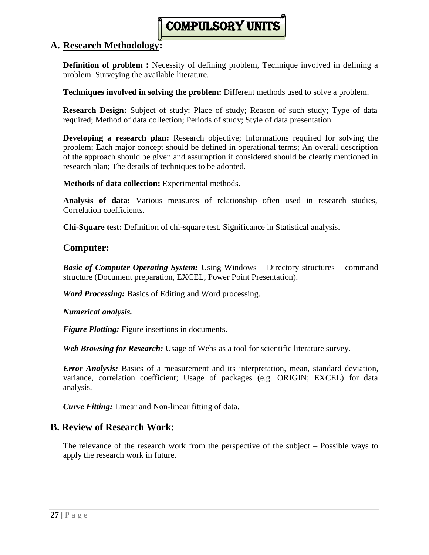# compulsory units

## **A. Research Methodology:**

**Definition of problem :** Necessity of defining problem, Technique involved in defining a problem. Surveying the available literature.

**Techniques involved in solving the problem:** Different methods used to solve a problem.

**Research Design:** Subject of study; Place of study; Reason of such study; Type of data required; Method of data collection; Periods of study; Style of data presentation.

**Developing a research plan:** Research objective; Informations required for solving the problem; Each major concept should be defined in operational terms; An overall description of the approach should be given and assumption if considered should be clearly mentioned in research plan; The details of techniques to be adopted.

**Methods of data collection:** Experimental methods.

**Analysis of data:** Various measures of relationship often used in research studies, Correlation coefficients.

**Chi-Square test:** Definition of chi-square test. Significance in Statistical analysis.

# **Computer:**

*Basic of Computer Operating System:* Using Windows – Directory structures – command structure (Document preparation, EXCEL, Power Point Presentation).

*Word Processing:* Basics of Editing and Word processing.

*Numerical analysis.*

*Figure Plotting:* Figure insertions in documents.

*Web Browsing for Research:* Usage of Webs as a tool for scientific literature survey.

*Error Analysis:* Basics of a measurement and its interpretation, mean, standard deviation, variance, correlation coefficient; Usage of packages (e.g. ORIGIN; EXCEL) for data analysis.

*Curve Fitting:* Linear and Non-linear fitting of data.

# **B. Review of Research Work:**

The relevance of the research work from the perspective of the subject – Possible ways to apply the research work in future.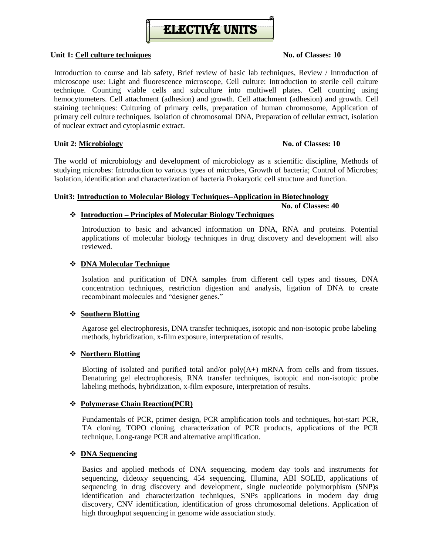

#### **Unit 1: Cell culture techniques No. of Classes: 10**

Introduction to course and lab safety, Brief review of basic lab techniques, Review / Introduction of microscope use: Light and fluorescence microscope, Cell culture: Introduction to sterile cell culture technique. Counting viable cells and subculture into multiwell plates. Cell counting using hemocytometers. Cell attachment (adhesion) and growth. Cell attachment (adhesion) and growth. Cell staining techniques: Culturing of primary cells, preparation of human chromosome, Application of primary cell culture techniques. Isolation of chromosomal DNA, Preparation of cellular extract, isolation of nuclear extract and cytoplasmic extract.

#### **Unit 2: Microbiology No. of Classes: 10**

The world of microbiology and development of microbiology as a scientific discipline, Methods of studying microbes: Introduction to various types of microbes, Growth of bacteria; Control of Microbes; Isolation, identification and characterization of bacteria Prokaryotic cell structure and function.

#### **Unit3: Introduction to Molecular Biology Techniques–Application in Biotechnology**

### **No. of Classes: 40**

#### **Introduction – Principles of Molecular Biology Techniques**

Introduction to basic and advanced information on DNA, RNA and proteins. Potential applications of molecular biology techniques in drug discovery and development will also reviewed.

#### **DNA Molecular Technique**

Isolation and purification of DNA samples from different cell types and tissues, DNA concentration techniques, restriction digestion and analysis, ligation of DNA to create recombinant molecules and "designer genes."

#### **Southern Blotting**

Agarose gel electrophoresis, DNA transfer techniques, isotopic and non-isotopic probe labeling methods, hybridization, x-film exposure, interpretation of results.

#### **Northern Blotting**

Blotting of isolated and purified total and/or  $poly(A+)$  mRNA from cells and from tissues. Denaturing gel electrophoresis, RNA transfer techniques, isotopic and non-isotopic probe labeling methods, hybridization, x-film exposure, interpretation of results.

#### **Polymerase Chain Reaction(PCR)**

Fundamentals of PCR, primer design, PCR amplification tools and techniques, hot-start PCR, TA cloning, TOPO cloning, characterization of PCR products, applications of the PCR technique, Long-range PCR and alternative amplification.

#### **DNA Sequencing**

Basics and applied methods of DNA sequencing, modern day tools and instruments for sequencing, dideoxy sequencing, 454 sequencing, Illumina, ABI SOLID, applications of sequencing in drug discovery and development, single nucleotide polymorphism (SNP)s identification and characterization techniques, SNPs applications in modern day drug discovery, CNV identification, identification of gross chromosomal deletions. Application of high throughput sequencing in genome wide association study.